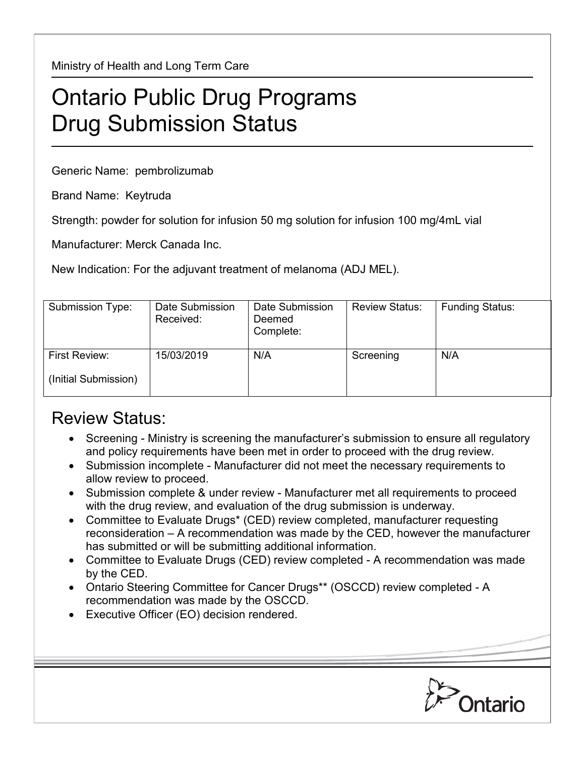Ministry of Health and Long Term Care

## Ontario Public Drug Programs Drug Submission Status

Generic Name: pembrolizumab

Brand Name: Keytruda

Strength: powder for solution for infusion 50 mg solution for infusion 100 mg/4mL vial

Manufacturer: Merck Canada Inc.

New Indication: For the adjuvant treatment of melanoma (ADJ MEL).

| Submission Type:     | Date Submission<br>Received: | Date Submission<br>Deemed<br>Complete: | <b>Review Status:</b> | <b>Funding Status:</b> |
|----------------------|------------------------------|----------------------------------------|-----------------------|------------------------|
| First Review:        | 15/03/2019                   | N/A                                    | Screening             | N/A                    |
| (Initial Submission) |                              |                                        |                       |                        |

## Review Status:

- Screening Ministry is screening the manufacturer's submission to ensure all regulatory and policy requirements have been met in order to proceed with the drug review.
- Submission incomplete Manufacturer did not meet the necessary requirements to allow review to proceed.
- Submission complete & under review Manufacturer met all requirements to proceed with the drug review, and evaluation of the drug submission is underway.
- Committee to Evaluate Drugs\* (CED) review completed, manufacturer requesting reconsideration – A recommendation was made by the CED, however the manufacturer has submitted or will be submitting additional information.
- Committee to Evaluate Drugs (CED) review completed A recommendation was made by the CED.
- Ontario Steering Committee for Cancer Drugs\*\* (OSCCD) review completed A recommendation was made by the OSCCD.
- Executive Officer (EO) decision rendered.